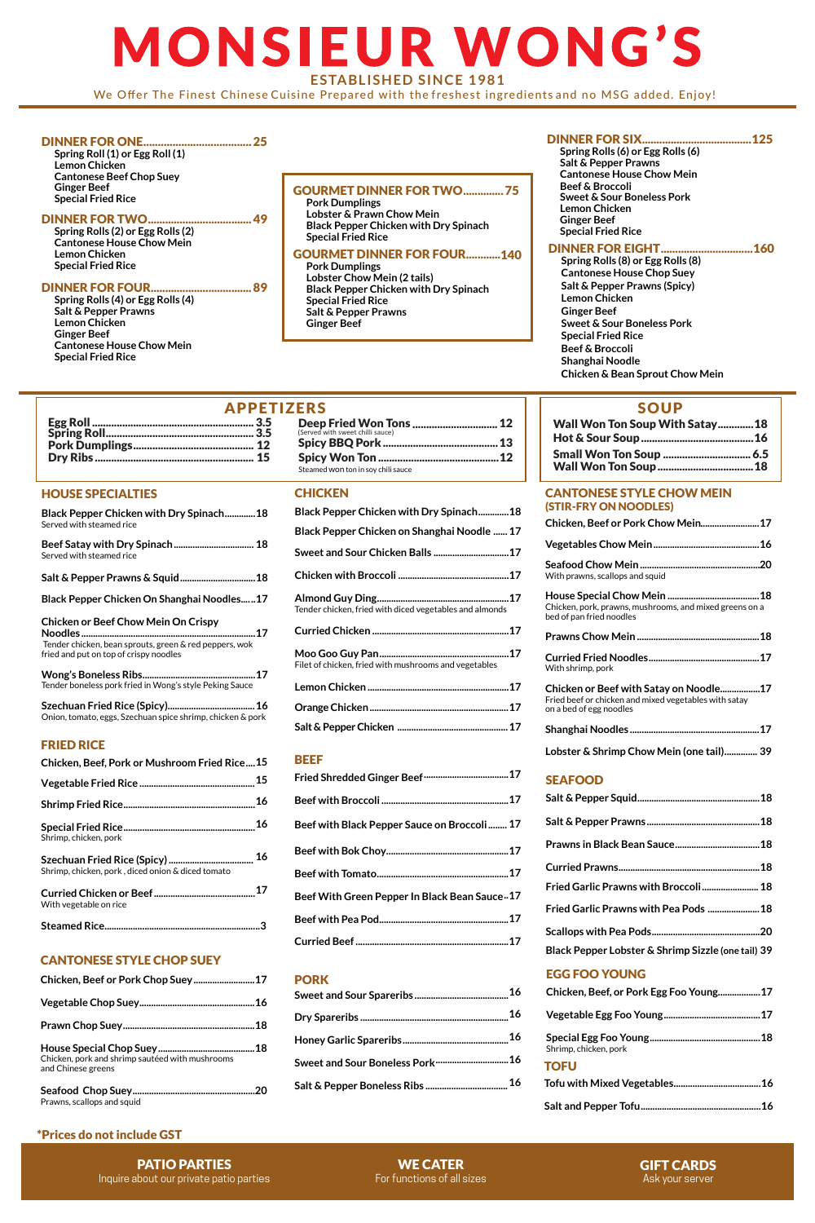| Black Pepper Chicken with Dry Spinach 18                |  |
|---------------------------------------------------------|--|
| Black Pepper Chicken on Shanghai Noodle  17             |  |
| Sweet and Sour Chicken Balls  17                        |  |
|                                                         |  |
| Tender chicken, fried with diced vegetables and almonds |  |
|                                                         |  |
| Filet of chicken, fried with mushrooms and vegetables   |  |
|                                                         |  |
|                                                         |  |
|                                                         |  |
| -----                                                   |  |

### SEAFOOD

| Chicken, Beef, or Pork Egg Foo Young17 |
|----------------------------------------|
|                                        |
| Shrimp, chicken, pork                  |
| <b>TOFU</b>                            |
|                                        |
|                                        |

## **Curried Prawns............................................................18 Fried Garlic Prawns with Broccoli........................18 Fried Garlic Prawns with Pea Pods ......................18 Scallops with Pea Pods..............................................20 Black Pepper Lobster & Shrimp Sizzle (one tail) 39**

### CANTONESE STYLE CHOP SUEY

| Chicken, pork and shrimp sautéed with mushrooms<br>and Chinese greens |
|-----------------------------------------------------------------------|
|                                                                       |
|                                                                       |
|                                                                       |

Prawns, scallops and squid

### EGG FOO YOUNG

### CANTONESE STYLE CHOW MEIN (STIR-FRY ON NOODLES)

| With prawns, scallops and squid                                                                                            |
|----------------------------------------------------------------------------------------------------------------------------|
| Chicken, pork, prawns, mushrooms, and mixed greens on a<br>bed of pan fried noodles                                        |
|                                                                                                                            |
| With shrimp, pork                                                                                                          |
| Chicken or Beef with Satay on Noodle17<br>Fried beef or chicken and mixed vegetables with satay<br>on a bed of egg noodles |
|                                                                                                                            |
| Lobster & Shrimp Chow Mein (one tail) 39                                                                                   |

### BEEF

| Fried Shredded Ginger Beef …………………………………… 17 |  |
|----------------------------------------------|--|
|                                              |  |
| Beef with Black Pepper Sauce on Broccoli 17  |  |

### **Beef with Bok Choy....................................................17 Beef with Tomato........................................................17 Beef With Green Pepper In Black Bean Sauce..17 Beef with Pea Pod.......................................................17**

|--|--|

### **PORK**

|  | 16 |
|--|----|
|--|----|

| 16 |
|----|
|    |
|    |
| 16 |

# **MONSIEUR WONG'S ESTABLISHED SINCE 1981**

We Offer The Finest Chinese Cuisine Prepared with the freshest ingredients and no MSG added. Enjoy!

### \*Prices do not include GST

### HOUSE SPECIALTIES

| Black Pepper Chicken with Dry Spinach18<br>Served with steamed rice                                                                                    |
|--------------------------------------------------------------------------------------------------------------------------------------------------------|
| Served with steamed rice                                                                                                                               |
| Salt & Pepper Prawns & Squid 18                                                                                                                        |
| Black Pepper Chicken On Shanghai Noodles17                                                                                                             |
| <b>Chicken or Beef Chow Mein On Crispy</b><br>….17<br>Tender chicken, bean sprouts, green & red peppers, wok<br>fried and put on top of crispy noodles |
| Tender boneless pork fried in Wong's style Peking Sauce                                                                                                |
| Onion, tomato, eggs, Szechuan spice shrimp, chicken & pork                                                                                             |
| <b>FRIED RICE</b>                                                                                                                                      |
| Chicken, Beef, Pork or Mushroom Fried Rice15                                                                                                           |

**Shrimp Fried Rice........................................................16**

|                       | 16 |
|-----------------------|----|
| Shrimp, chicken, pork |    |

| Shrimp, chicken, pork, diced onion & diced tomato | 16 |
|---------------------------------------------------|----|
| With vegetable on rice                            | 17 |
|                                                   |    |

**Steamed Rice..................................................................3**

**Vegetable Fried Rice .................................................15**

| <b>APPETIZERS</b> |                                                             | <b>SOUP</b>                   |
|-------------------|-------------------------------------------------------------|-------------------------------|
| 3.5<br>3.5        | Deep Fried Won Tons  12<br>(Served with sweet chilli sauce) | <b>Wall Won Ton Soup With</b> |
| 12                |                                                             | Hot & Sour Soup               |
| 15                |                                                             | <b>Small Won Ton Soup </b>    |
|                   | Steamed won ton in sov chili sauce                          | <b>Wall Won Ton Soup </b>     |

### **CHICKEN**

| Wall Won Ton Soup With Satay 18 |  |
|---------------------------------|--|
|                                 |  |
|                                 |  |
|                                 |  |

### DINNER FOR ONE.....................................25

**Spring Roll (1) or Egg Roll (1) Lemon Chicken Cantonese Beef Chop Suey Ginger Beef Special Fried Rice**

#### DINNER FOR TWO....................................49

**Spring Rolls (2) or Egg Rolls (2) Cantonese House Chow Mein Lemon Chicken Special Fried Rice**

#### DINNER FOR FOUR...................................89

**Spring Rolls (4) or Egg Rolls (4) Salt & Pepper Prawns Lemon Chicken Ginger Beef Cantonese House Chow Mein Special Fried Rice**

### DINNER FOR SIX......................................125

**Spring Rolls (6) or Egg Rolls (6) Salt & Pepper Prawns Cantonese House Chow Mein Beef & Broccoli Sweet & Sour Boneless Pork Lemon Chicken Ginger Beef Special Fried Rice**

### DINNER FOR EIGHT................................160

**Spring Rolls (8) or Egg Rolls (8) Cantonese House Chop Suey Salt & Pepper Prawns (Spicy) Lemon Chicken Ginger Beef Sweet & Sour Boneless Pork Special Fried Rice Beef & Broccoli Shanghai Noodle Chicken & Bean Sprout Chow Mein**

### GOURMET DINNER FOR TWO..............75

**Pork Dumplings Lobster & Prawn Chow Mein Black Pepper Chicken with Dry Spinach Special Fried Rice**

### GOURMET DINNER FOR FOUR............140

**Pork Dumplings Lobster Chow Mein (2 tails) Black Pepper Chicken with Dry Spinach Special Fried Rice Salt & Pepper Prawns Ginger Beef**

> WE CATER For functions of all sizes

GIFT CARDS Ask your server

PATIO PARTIES Inquire about our private patio parties